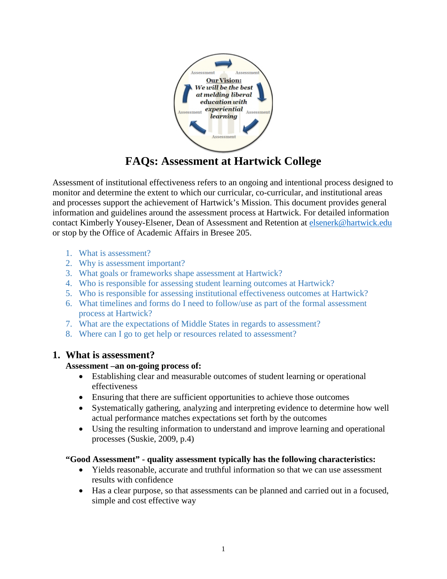

# **FAQs: Assessment at Hartwick College**

Assessment of institutional effectiveness refers to an ongoing and intentional process designed to monitor and determine the extent to which our curricular, co-curricular, and institutional areas and processes support the achievement of Hartwick's Mission. This document provides general information and guidelines around the assessment process at Hartwick. For detailed information contact Kimberly Yousey-Elsener, Dean of Assessment and Retention at [elsenerk@hartwick.edu](mailto:elsenerk@hartwick.edu) or stop by the Office of Academic Affairs in Bresee 205.

- 1. What is assessment?
- 2. [Why is assessment important?](#page-1-0)
- 3. [What goals or frameworks shape assessment at Hartwick?](#page-1-0)
- 4. [Who is responsible for assessing student learning outcomes at Hartwick?](#page-2-0)
- 5. [Who is responsible for assessing institutional effectiveness outcomes at Hartwick?](#page-2-0)
- 6. [What timelines and forms do I need to follow/use as part of the formal](#page-3-0) assessment process at Hartwick?
- 7. What are [the expectations of Middle States in regards to assessment?](#page-3-0)
- 8. [Where can I go to get help or resources related to assessment?](#page-3-0)

# **1. What is assessment?**

#### **Assessment –an on-going process of:**

- Establishing clear and measurable outcomes of student learning or operational effectiveness
- Ensuring that there are sufficient opportunities to achieve those outcomes
- Systematically gathering, analyzing and interpreting evidence to determine how well actual performance matches expectations set forth by the outcomes
- Using the resulting information to understand and improve learning and operational processes (Suskie, 2009, p.4)

# **"Good Assessment" - quality assessment typically has the following characteristics:**

- Yields reasonable, accurate and truthful information so that we can use assessment results with confidence
- Has a clear purpose, so that assessments can be planned and carried out in a focused, simple and cost effective way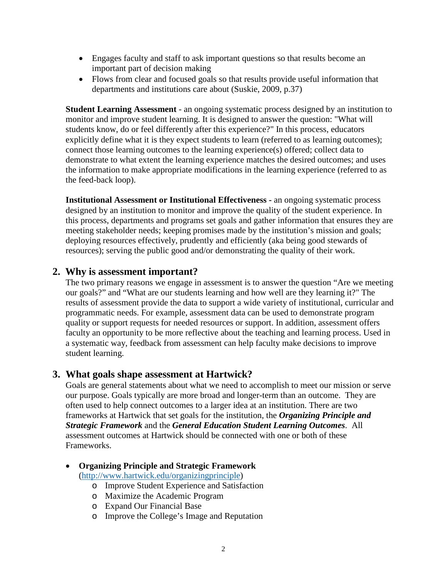- <span id="page-1-0"></span>• Engages faculty and staff to ask important questions so that results become an important part of decision making
- Flows from clear and focused goals so that results provide useful information that departments and institutions care about (Suskie, 2009, p.37)

**Student Learning Assessment** - an ongoing systematic process designed by an institution to monitor and improve student learning. It is designed to answer the question: "What will students know, do or feel differently after this experience?" In this process, educators explicitly define what it is they expect students to learn (referred to as learning outcomes); connect those learning outcomes to the learning experience(s) offered; collect data to demonstrate to what extent the learning experience matches the desired outcomes; and uses the information to make appropriate modifications in the learning experience (referred to as the feed-back loop).

**Institutional Assessment or Institutional Effectiveness -** an ongoing systematic process designed by an institution to monitor and improve the quality of the student experience. In this process, departments and programs set goals and gather information that ensures they are meeting stakeholder needs; keeping promises made by the institution's mission and goals; deploying resources effectively, prudently and efficiently (aka being good stewards of resources); serving the public good and/or demonstrating the quality of their work.

# **2. Why is assessment important?**

The two primary reasons we engage in assessment is to answer the question "Are we meeting our goals?" and "What are our students learning and how well are they learning it?" The results of assessment provide the data to support a wide variety of institutional, curricular and programmatic needs. For example, assessment data can be used to demonstrate program quality or support requests for needed resources or support. In addition, assessment offers faculty an opportunity to be more reflective about the teaching and learning process. Used in a systematic way, feedback from assessment can help faculty make decisions to improve student learning.

# **3. What goals shape assessment at Hartwick?**

Goals are general statements about what we need to accomplish to meet our mission or serve our purpose. Goals typically are more broad and longer-term than an outcome. They are often used to help connect outcomes to a larger idea at an institution. There are two frameworks at Hartwick that set goals for the institution, the *Organizing Principle and Strategic Framework* and the *General Education Student Learning Outcomes*. All assessment outcomes at Hartwick should be connected with one or both of these Frameworks.

• **Organizing Principle and Strategic Framework**

[\(http://www.hartwick.edu/organizingprinciple\)](http://www.hartwick.edu/organizingprinciple)

- o Improve Student Experience and Satisfaction
- o Maximize the Academic Program
- o Expand Our Financial Base
- o Improve the College's Image and Reputation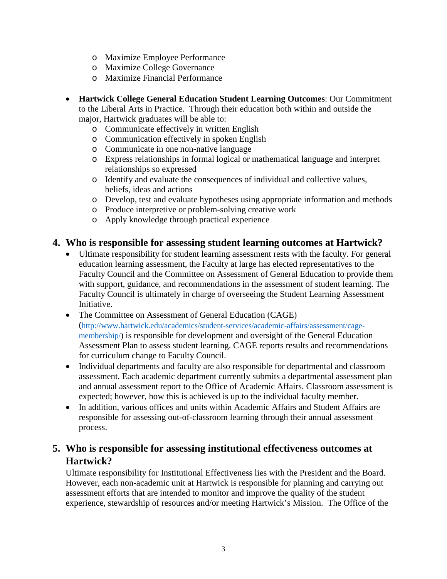- <span id="page-2-0"></span>o Maximize Employee Performance
- o Maximize College Governance
- o Maximize Financial Performance
- **Hartwick College General Education Student Learning Outcomes**: Our Commitment to the Liberal Arts in Practice. Through their education both within and outside the major, Hartwick graduates will be able to:
	- o Communicate effectively in written English
	- o Communication effectively in spoken English
	- o Communicate in one non-native language
	- o Express relationships in formal logical or mathematical language and interpret relationships so expressed
	- o Identify and evaluate the consequences of individual and collective values, beliefs, ideas and actions
	- o Develop, test and evaluate hypotheses using appropriate information and methods
	- o Produce interpretive or problem-solving creative work
	- o Apply knowledge through practical experience

#### **4. Who is responsible for assessing student learning outcomes at Hartwick?**

- Ultimate responsibility for student learning assessment rests with the faculty. For general education learning assessment, the Faculty at large has elected representatives to the Faculty Council and the Committee on Assessment of General Education to provide them with support, guidance, and recommendations in the assessment of student learning. The Faculty Council is ultimately in charge of overseeing the Student Learning Assessment Initiative.
- The Committee on Assessment of General Education (CAGE) [\(http://www.hartwick.edu/academics/student-services/academic-affairs/assessment/cage](http://www.hartwick.edu/academics/student-services/academic-affairs/assessment/cage-membership/)[membership/\)](http://www.hartwick.edu/academics/student-services/academic-affairs/assessment/cage-membership/) is responsible for development and oversight of the General Education Assessment Plan to assess student learning. CAGE reports results and recommendations for curriculum change to Faculty Council.
- Individual departments and faculty are also responsible for departmental and classroom assessment. Each academic department currently submits a departmental assessment plan and annual assessment report to the Office of Academic Affairs. Classroom assessment is expected; however, how this is achieved is up to the individual faculty member.
- In addition, various offices and units within Academic Affairs and Student Affairs are responsible for assessing out-of-classroom learning through their annual assessment process.

# **5. [Who is responsible for assessing institutional effectiveness outcomes at](#page-3-0)  Hartwick?**

Ultimate responsibility for Institutional Effectiveness lies with the President and the Board. However, each non-academic unit at Hartwick is responsible for planning and carrying out assessment efforts that are intended to monitor and improve the quality of the student experience, stewardship of resources and/or meeting Hartwick's Mission. The Office of the